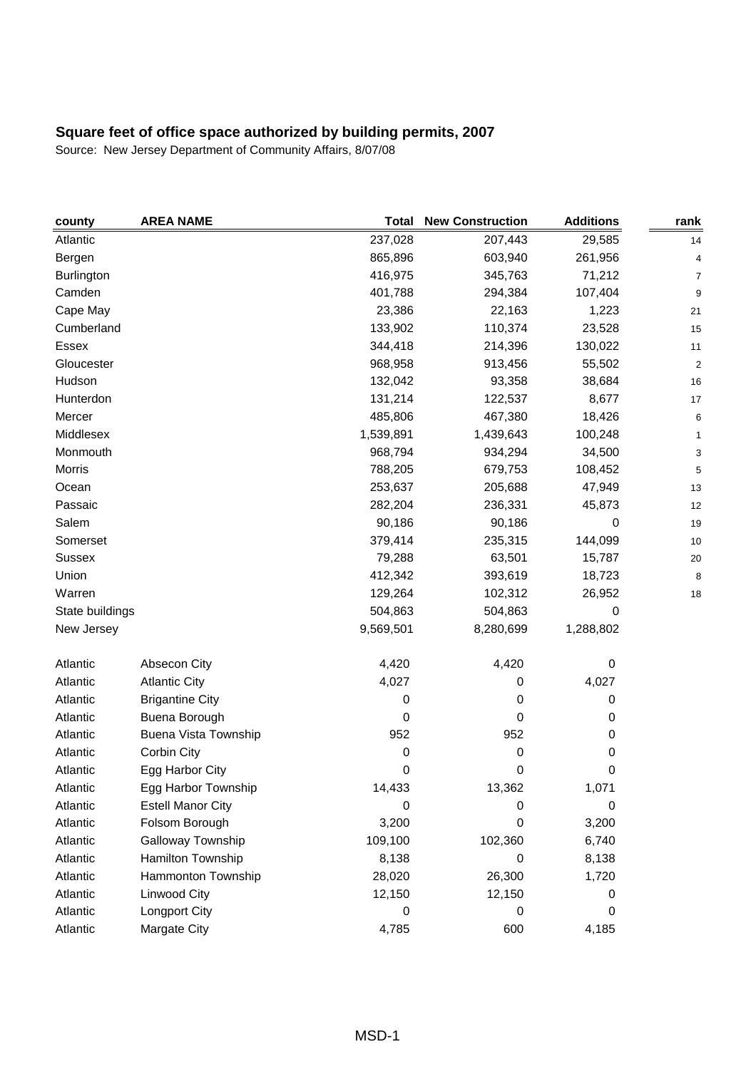| county            | <b>AREA NAME</b>         | <b>Total</b> | <b>New Construction</b> | <b>Additions</b> | rank                    |
|-------------------|--------------------------|--------------|-------------------------|------------------|-------------------------|
| Atlantic          |                          | 237,028      | 207,443                 | 29,585           | 14                      |
| Bergen            |                          | 865,896      | 603,940                 | 261,956          | 4                       |
| <b>Burlington</b> |                          | 416,975      | 345,763                 | 71,212           | 7                       |
| Camden            |                          | 401,788      | 294,384                 | 107,404          | g                       |
| Cape May          |                          | 23,386       | 22,163                  | 1,223            | 21                      |
| Cumberland        |                          | 133,902      | 110,374                 | 23,528           | 15                      |
| Essex             |                          | 344,418      | 214,396                 | 130,022          | 11                      |
| Gloucester        |                          | 968,958      | 913,456                 | 55,502           | $\overline{\mathbf{c}}$ |
| Hudson            |                          | 132,042      | 93,358                  | 38,684           | 16                      |
| Hunterdon         |                          | 131,214      | 122,537                 | 8,677            | 17                      |
| Mercer            |                          | 485,806      | 467,380                 | 18,426           | 6                       |
| Middlesex         |                          | 1,539,891    | 1,439,643               | 100,248          | 1                       |
| Monmouth          |                          | 968,794      | 934,294                 | 34,500           | 3                       |
| Morris            |                          | 788,205      | 679,753                 | 108,452          | 5                       |
| Ocean             |                          | 253,637      | 205,688                 | 47,949           | 13                      |
| Passaic           |                          | 282,204      | 236,331                 | 45,873           | 12                      |
| Salem             |                          | 90,186       | 90,186                  | 0                | 19                      |
| Somerset          |                          | 379,414      | 235,315                 | 144,099          | 10                      |
| <b>Sussex</b>     |                          | 79,288       | 63,501                  | 15,787           | 20                      |
| Union             |                          | 412,342      | 393,619                 | 18,723           | 8                       |
| Warren            |                          | 129,264      | 102,312                 | 26,952           | 18                      |
| State buildings   |                          | 504,863      | 504,863                 | 0                |                         |
| New Jersey        |                          | 9,569,501    | 8,280,699               | 1,288,802        |                         |
| Atlantic          | Absecon City             | 4,420        | 4,420                   | 0                |                         |
| Atlantic          | <b>Atlantic City</b>     | 4,027        | 0                       | 4,027            |                         |
| Atlantic          | <b>Brigantine City</b>   | 0            | 0                       | 0                |                         |
| Atlantic          | Buena Borough            | 0            | 0                       | 0                |                         |
| Atlantic          | Buena Vista Township     | 952          | 952                     | 0                |                         |
| Atlantic          | Corbin City              | 0            | 0                       | 0                |                         |
| Atlantic          | Egg Harbor City          | 0            | 0                       | 0                |                         |
| Atlantic          | Egg Harbor Township      | 14,433       | 13,362                  | 1,071            |                         |
| Atlantic          | <b>Estell Manor City</b> | 0            | 0                       | 0                |                         |
| Atlantic          | Folsom Borough           | 3,200        | 0                       | 3,200            |                         |
| Atlantic          | Galloway Township        | 109,100      | 102,360                 | 6,740            |                         |
| Atlantic          | Hamilton Township        | 8,138        | 0                       | 8,138            |                         |
| Atlantic          | Hammonton Township       | 28,020       | 26,300                  | 1,720            |                         |
| Atlantic          | Linwood City             | 12,150       | 12,150                  | 0                |                         |
| Atlantic          | Longport City            | 0            | 0                       | 0                |                         |
| Atlantic          | Margate City             | 4,785        | 600                     | 4,185            |                         |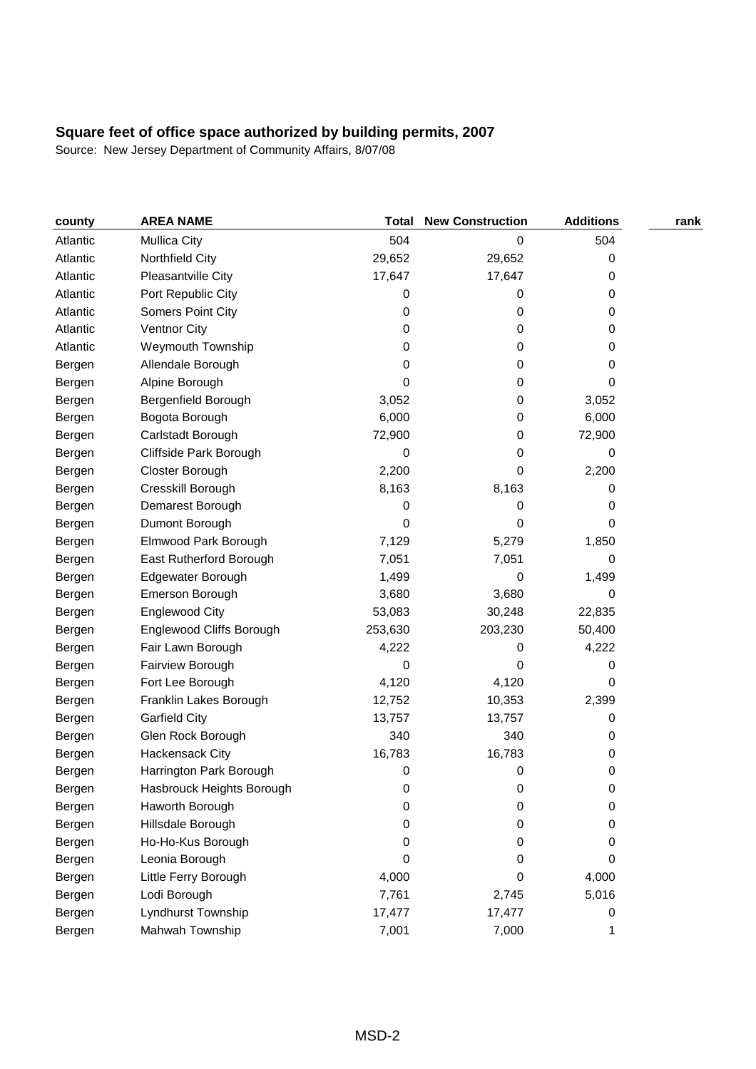| county   | <b>AREA NAME</b>          | <b>Total</b> | <b>New Construction</b> | <b>Additions</b> | rank |
|----------|---------------------------|--------------|-------------------------|------------------|------|
| Atlantic | <b>Mullica City</b>       | 504          | 0                       | 504              |      |
| Atlantic | Northfield City           | 29,652       | 29,652                  | 0                |      |
| Atlantic | Pleasantville City        | 17,647       | 17,647                  | 0                |      |
| Atlantic | Port Republic City        | 0            | 0                       | 0                |      |
| Atlantic | Somers Point City         | 0            | 0                       | 0                |      |
| Atlantic | <b>Ventnor City</b>       | 0            | 0                       | 0                |      |
| Atlantic | Weymouth Township         | 0            | 0                       | 0                |      |
| Bergen   | Allendale Borough         | 0            | 0                       | 0                |      |
| Bergen   | Alpine Borough            | 0            | 0                       | 0                |      |
| Bergen   | Bergenfield Borough       | 3,052        | 0                       | 3,052            |      |
| Bergen   | Bogota Borough            | 6,000        | 0                       | 6,000            |      |
| Bergen   | Carlstadt Borough         | 72,900       | 0                       | 72,900           |      |
| Bergen   | Cliffside Park Borough    | 0            | 0                       | 0                |      |
| Bergen   | Closter Borough           | 2,200        | 0                       | 2,200            |      |
| Bergen   | Cresskill Borough         | 8,163        | 8,163                   | 0                |      |
| Bergen   | Demarest Borough          | 0            | 0                       | 0                |      |
| Bergen   | Dumont Borough            | 0            | 0                       | 0                |      |
| Bergen   | Elmwood Park Borough      | 7,129        | 5,279                   | 1,850            |      |
| Bergen   | East Rutherford Borough   | 7,051        | 7,051                   | 0                |      |
| Bergen   | Edgewater Borough         | 1,499        | 0                       | 1,499            |      |
| Bergen   | Emerson Borough           | 3,680        | 3,680                   | 0                |      |
| Bergen   | <b>Englewood City</b>     | 53,083       | 30,248                  | 22,835           |      |
| Bergen   | Englewood Cliffs Borough  | 253,630      | 203,230                 | 50,400           |      |
| Bergen   | Fair Lawn Borough         | 4,222        | 0                       | 4,222            |      |
| Bergen   | Fairview Borough          | 0            | 0                       | 0                |      |
| Bergen   | Fort Lee Borough          | 4,120        | 4,120                   | 0                |      |
| Bergen   | Franklin Lakes Borough    | 12,752       | 10,353                  | 2,399            |      |
| Bergen   | <b>Garfield City</b>      | 13,757       | 13,757                  | 0                |      |
| Bergen   | Glen Rock Borough         | 340          | 340                     | 0                |      |
| Bergen   | Hackensack City           | 16,783       | 16,783                  | 0                |      |
| Bergen   | Harrington Park Borough   | 0            | 0                       | 0                |      |
| Bergen   | Hasbrouck Heights Borough | 0            | 0                       | 0                |      |
| Bergen   | Haworth Borough           | 0            | 0                       | 0                |      |
| Bergen   | Hillsdale Borough         | 0            | 0                       | 0                |      |
| Bergen   | Ho-Ho-Kus Borough         | 0            | 0                       | 0                |      |
| Bergen   | Leonia Borough            | 0            | 0                       | 0                |      |
| Bergen   | Little Ferry Borough      | 4,000        | 0                       | 4,000            |      |
| Bergen   | Lodi Borough              | 7,761        | 2,745                   | 5,016            |      |
| Bergen   | Lyndhurst Township        | 17,477       | 17,477                  | 0                |      |
| Bergen   | Mahwah Township           | 7,001        | 7,000                   | 1                |      |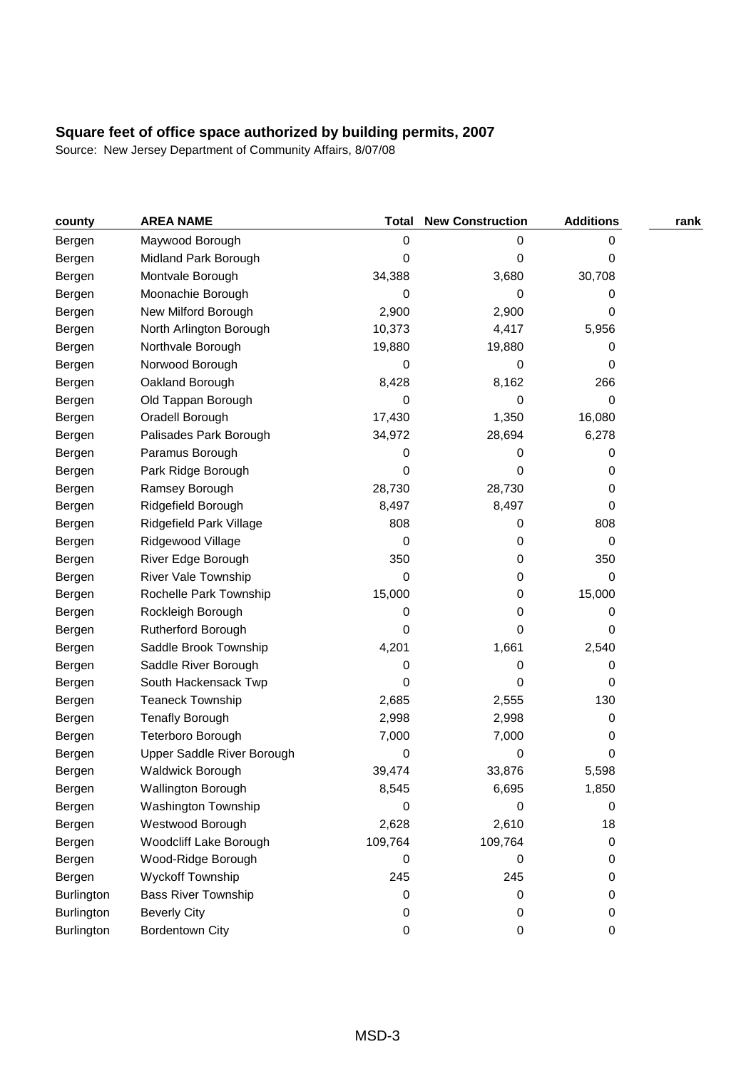| county     | <b>AREA NAME</b>           | <b>Total</b> | <b>New Construction</b> | <b>Additions</b> | rank |
|------------|----------------------------|--------------|-------------------------|------------------|------|
| Bergen     | Maywood Borough            | 0            | 0                       | 0                |      |
| Bergen     | Midland Park Borough       | 0            | 0                       | 0                |      |
| Bergen     | Montvale Borough           | 34,388       | 3,680                   | 30,708           |      |
| Bergen     | Moonachie Borough          | 0            | 0                       | 0                |      |
| Bergen     | New Milford Borough        | 2,900        | 2,900                   | 0                |      |
| Bergen     | North Arlington Borough    | 10,373       | 4,417                   | 5,956            |      |
| Bergen     | Northvale Borough          | 19,880       | 19,880                  | 0                |      |
| Bergen     | Norwood Borough            | 0            | 0                       | 0                |      |
| Bergen     | Oakland Borough            | 8,428        | 8,162                   | 266              |      |
| Bergen     | Old Tappan Borough         | 0            | $\mathbf 0$             | 0                |      |
| Bergen     | Oradell Borough            | 17,430       | 1,350                   | 16,080           |      |
| Bergen     | Palisades Park Borough     | 34,972       | 28,694                  | 6,278            |      |
| Bergen     | Paramus Borough            | 0            | 0                       | 0                |      |
| Bergen     | Park Ridge Borough         | 0            | 0                       | 0                |      |
| Bergen     | Ramsey Borough             | 28,730       | 28,730                  | 0                |      |
| Bergen     | Ridgefield Borough         | 8,497        | 8,497                   | 0                |      |
| Bergen     | Ridgefield Park Village    | 808          | 0                       | 808              |      |
| Bergen     | Ridgewood Village          | 0            | 0                       | 0                |      |
| Bergen     | River Edge Borough         | 350          | 0                       | 350              |      |
| Bergen     | River Vale Township        | 0            | 0                       | 0                |      |
| Bergen     | Rochelle Park Township     | 15,000       | 0                       | 15,000           |      |
| Bergen     | Rockleigh Borough          | 0            | 0                       | 0                |      |
| Bergen     | Rutherford Borough         | 0            | 0                       | 0                |      |
| Bergen     | Saddle Brook Township      | 4,201        | 1,661                   | 2,540            |      |
| Bergen     | Saddle River Borough       | 0            | 0                       | 0                |      |
| Bergen     | South Hackensack Twp       | 0            | 0                       | 0                |      |
| Bergen     | <b>Teaneck Township</b>    | 2,685        | 2,555                   | 130              |      |
| Bergen     | <b>Tenafly Borough</b>     | 2,998        | 2,998                   | 0                |      |
| Bergen     | Teterboro Borough          | 7,000        | 7,000                   | 0                |      |
| Bergen     | Upper Saddle River Borough | 0            | 0                       | 0                |      |
| Bergen     | Waldwick Borough           | 39,474       | 33,876                  | 5,598            |      |
| Bergen     | Wallington Borough         | 8,545        | 6,695                   | 1,850            |      |
| Bergen     | Washington Township        | 0            | 0                       | 0                |      |
| Bergen     | Westwood Borough           | 2,628        | 2,610                   | 18               |      |
| Bergen     | Woodcliff Lake Borough     | 109,764      | 109,764                 | 0                |      |
| Bergen     | Wood-Ridge Borough         | 0            | 0                       | 0                |      |
| Bergen     | Wyckoff Township           | 245          | 245                     | 0                |      |
| Burlington | <b>Bass River Township</b> | 0            | 0                       | 0                |      |
| Burlington | <b>Beverly City</b>        | 0            | 0                       | 0                |      |
| Burlington | <b>Bordentown City</b>     | 0            | 0                       | 0                |      |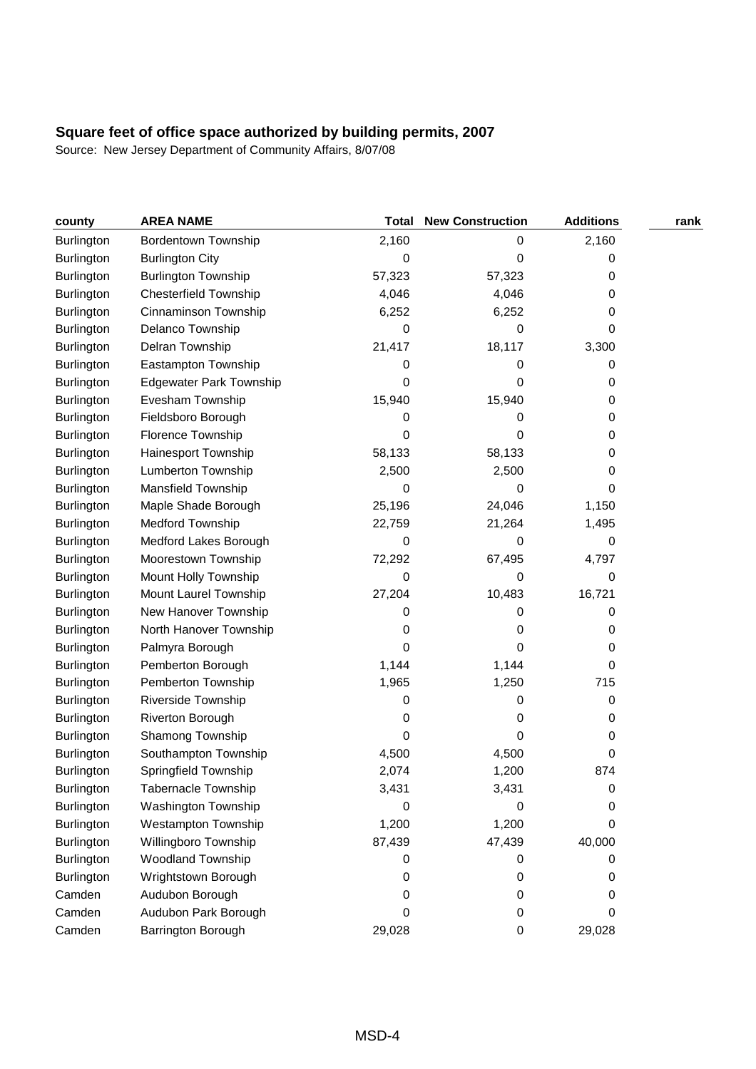| county            | <b>AREA NAME</b>               | <b>Total</b> | <b>New Construction</b> | <b>Additions</b> | rank |
|-------------------|--------------------------------|--------------|-------------------------|------------------|------|
| <b>Burlington</b> | <b>Bordentown Township</b>     | 2,160        | 0                       | 2,160            |      |
| <b>Burlington</b> | <b>Burlington City</b>         | 0            | 0                       | 0                |      |
| <b>Burlington</b> | <b>Burlington Township</b>     | 57,323       | 57,323                  | 0                |      |
| <b>Burlington</b> | <b>Chesterfield Township</b>   | 4,046        | 4,046                   | 0                |      |
| <b>Burlington</b> | Cinnaminson Township           | 6,252        | 6,252                   | 0                |      |
| <b>Burlington</b> | Delanco Township               | 0            | 0                       | 0                |      |
| <b>Burlington</b> | Delran Township                | 21,417       | 18,117                  | 3,300            |      |
| <b>Burlington</b> | Eastampton Township            | 0            | 0                       | 0                |      |
| <b>Burlington</b> | <b>Edgewater Park Township</b> | 0            | 0                       | 0                |      |
| <b>Burlington</b> | Evesham Township               | 15,940       | 15,940                  | 0                |      |
| <b>Burlington</b> | Fieldsboro Borough             | 0            | 0                       | 0                |      |
| <b>Burlington</b> | Florence Township              | 0            | 0                       | 0                |      |
| <b>Burlington</b> | Hainesport Township            | 58,133       | 58,133                  | 0                |      |
| Burlington        | <b>Lumberton Township</b>      | 2,500        | 2,500                   | 0                |      |
| <b>Burlington</b> | Mansfield Township             | 0            | 0                       | 0                |      |
| <b>Burlington</b> | Maple Shade Borough            | 25,196       | 24,046                  | 1,150            |      |
| <b>Burlington</b> | Medford Township               | 22,759       | 21,264                  | 1,495            |      |
| <b>Burlington</b> | Medford Lakes Borough          | 0            | 0                       | 0                |      |
| <b>Burlington</b> | Moorestown Township            | 72,292       | 67,495                  | 4,797            |      |
| Burlington        | Mount Holly Township           | 0            | 0                       | 0                |      |
| <b>Burlington</b> | Mount Laurel Township          | 27,204       | 10,483                  | 16,721           |      |
| <b>Burlington</b> | New Hanover Township           | 0            | 0                       | 0                |      |
| <b>Burlington</b> | North Hanover Township         | 0            | 0                       | 0                |      |
| <b>Burlington</b> | Palmyra Borough                | 0            | 0                       | 0                |      |
| Burlington        | Pemberton Borough              | 1,144        | 1,144                   | 0                |      |
| <b>Burlington</b> | Pemberton Township             | 1,965        | 1,250                   | 715              |      |
| Burlington        | Riverside Township             | 0            | 0                       | 0                |      |
| <b>Burlington</b> | Riverton Borough               | 0            | 0                       | 0                |      |
| <b>Burlington</b> | Shamong Township               | 0            | 0                       | 0                |      |
| Burlington        | Southampton Township           | 4,500        | 4,500                   | 0                |      |
| <b>Burlington</b> | Springfield Township           | 2,074        | 1,200                   | 874              |      |
| <b>Burlington</b> | Tabernacle Township            | 3,431        | 3,431                   | 0                |      |
| Burlington        | Washington Township            | 0            | 0                       | 0                |      |
| <b>Burlington</b> | <b>Westampton Township</b>     | 1,200        | 1,200                   | 0                |      |
| <b>Burlington</b> | Willingboro Township           | 87,439       | 47,439                  | 40,000           |      |
| Burlington        | Woodland Township              | 0            | 0                       | 0                |      |
| <b>Burlington</b> | Wrightstown Borough            | 0            | 0                       | 0                |      |
| Camden            | Audubon Borough                | 0            | 0                       | 0                |      |
| Camden            | Audubon Park Borough           | 0            | 0                       | 0                |      |
| Camden            | Barrington Borough             | 29,028       | 0                       | 29,028           |      |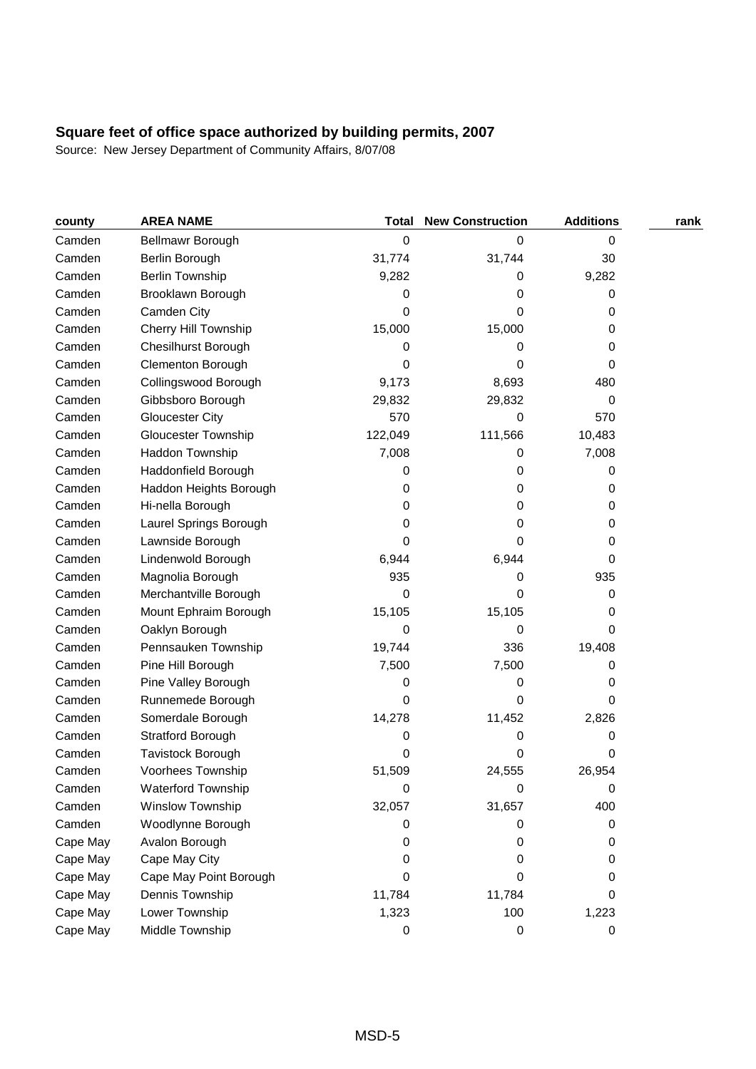| county   | <b>AREA NAME</b>            | <b>Total</b> | <b>New Construction</b> | <b>Additions</b> | rank |
|----------|-----------------------------|--------------|-------------------------|------------------|------|
| Camden   | <b>Bellmawr Borough</b>     | $\mathbf 0$  | 0                       | 0                |      |
| Camden   | Berlin Borough              | 31,774       | 31,744                  | 30               |      |
| Camden   | <b>Berlin Township</b>      | 9,282        | 0                       | 9,282            |      |
| Camden   | Brooklawn Borough           | 0            | 0                       | 0                |      |
| Camden   | Camden City                 | 0            | 0                       | 0                |      |
| Camden   | <b>Cherry Hill Township</b> | 15,000       | 15,000                  | 0                |      |
| Camden   | <b>Chesilhurst Borough</b>  | 0            | 0                       | 0                |      |
| Camden   | Clementon Borough           | 0            | 0                       | 0                |      |
| Camden   | Collingswood Borough        | 9,173        | 8,693                   | 480              |      |
| Camden   | Gibbsboro Borough           | 29,832       | 29,832                  | 0                |      |
| Camden   | <b>Gloucester City</b>      | 570          | 0                       | 570              |      |
| Camden   | <b>Gloucester Township</b>  | 122,049      | 111,566                 | 10,483           |      |
| Camden   | <b>Haddon Township</b>      | 7,008        | 0                       | 7,008            |      |
| Camden   | Haddonfield Borough         | 0            | 0                       | 0                |      |
| Camden   | Haddon Heights Borough      | 0            | 0                       | 0                |      |
| Camden   | Hi-nella Borough            | 0            | 0                       | 0                |      |
| Camden   | Laurel Springs Borough      | 0            | 0                       | 0                |      |
| Camden   | Lawnside Borough            | 0            | 0                       | 0                |      |
| Camden   | Lindenwold Borough          | 6,944        | 6,944                   | 0                |      |
| Camden   | Magnolia Borough            | 935          | 0                       | 935              |      |
| Camden   | Merchantville Borough       | 0            | 0                       | 0                |      |
| Camden   | Mount Ephraim Borough       | 15,105       | 15,105                  | 0                |      |
| Camden   | Oaklyn Borough              | 0            | 0                       | 0                |      |
| Camden   | Pennsauken Township         | 19,744       | 336                     | 19,408           |      |
| Camden   | Pine Hill Borough           | 7,500        | 7,500                   | 0                |      |
| Camden   | Pine Valley Borough         | 0            | 0                       | 0                |      |
| Camden   | Runnemede Borough           | 0            | 0                       | 0                |      |
| Camden   | Somerdale Borough           | 14,278       | 11,452                  | 2,826            |      |
| Camden   | Stratford Borough           | 0            | 0                       | 0                |      |
| Camden   | Tavistock Borough           | 0            | 0                       | 0                |      |
| Camden   | Voorhees Township           | 51,509       | 24,555                  | 26,954           |      |
| Camden   | <b>Waterford Township</b>   | $\mathbf 0$  | 0                       | 0                |      |
| Camden   | Winslow Township            | 32,057       | 31,657                  | 400              |      |
| Camden   | Woodlynne Borough           | 0            | 0                       | 0                |      |
| Cape May | Avalon Borough              | 0            | 0                       | 0                |      |
| Cape May | Cape May City               | 0            | 0                       | 0                |      |
| Cape May | Cape May Point Borough      | 0            | 0                       | 0                |      |
| Cape May | Dennis Township             | 11,784       | 11,784                  | 0                |      |
| Cape May | Lower Township              | 1,323        | 100                     | 1,223            |      |
| Cape May | Middle Township             | 0            | 0                       | 0                |      |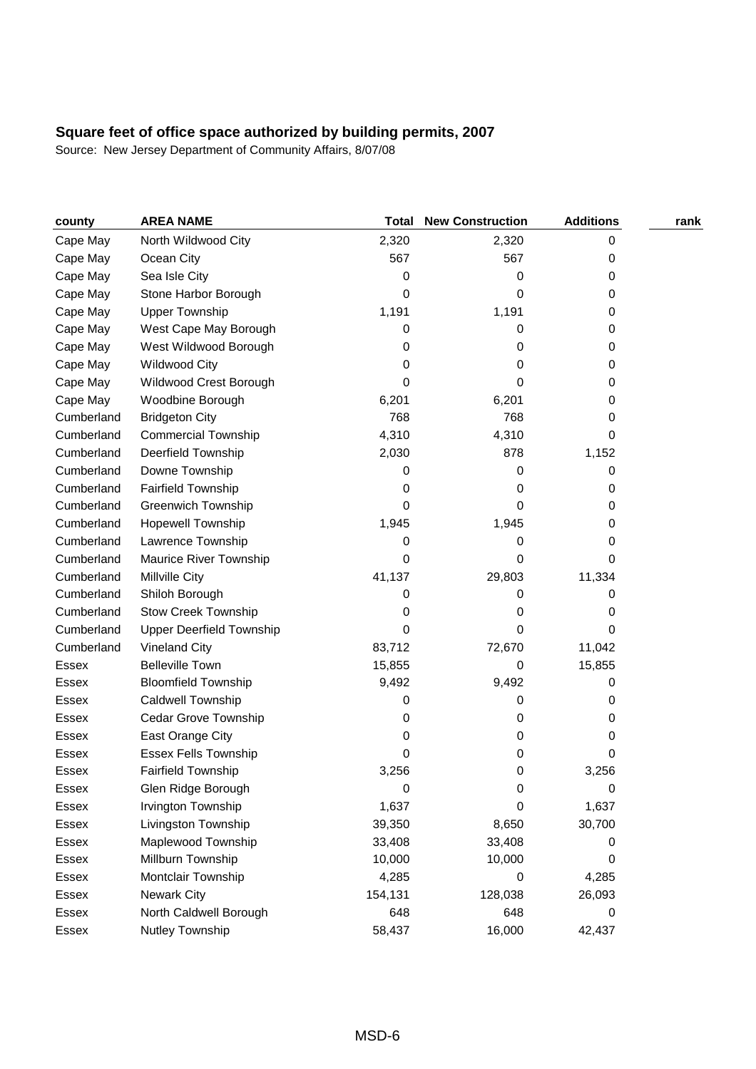| county       | <b>AREA NAME</b>                | <b>Total</b> | <b>New Construction</b> | <b>Additions</b> | rank |
|--------------|---------------------------------|--------------|-------------------------|------------------|------|
| Cape May     | North Wildwood City             | 2,320        | 2,320                   | 0                |      |
| Cape May     | Ocean City                      | 567          | 567                     | 0                |      |
| Cape May     | Sea Isle City                   | 0            | 0                       | 0                |      |
| Cape May     | Stone Harbor Borough            | 0            | 0                       | 0                |      |
| Cape May     | <b>Upper Township</b>           | 1,191        | 1,191                   | 0                |      |
| Cape May     | West Cape May Borough           | 0            | 0                       | 0                |      |
| Cape May     | West Wildwood Borough           | 0            | 0                       | 0                |      |
| Cape May     | <b>Wildwood City</b>            | 0            | 0                       | 0                |      |
| Cape May     | Wildwood Crest Borough          | 0            | 0                       | 0                |      |
| Cape May     | Woodbine Borough                | 6,201        | 6,201                   | 0                |      |
| Cumberland   | <b>Bridgeton City</b>           | 768          | 768                     | 0                |      |
| Cumberland   | <b>Commercial Township</b>      | 4,310        | 4,310                   | 0                |      |
| Cumberland   | Deerfield Township              | 2,030        | 878                     | 1,152            |      |
| Cumberland   | Downe Township                  | 0            | 0                       | 0                |      |
| Cumberland   | Fairfield Township              | 0            | 0                       | 0                |      |
| Cumberland   | <b>Greenwich Township</b>       | 0            | 0                       | 0                |      |
| Cumberland   | Hopewell Township               | 1,945        | 1,945                   | 0                |      |
| Cumberland   | Lawrence Township               | 0            | 0                       | 0                |      |
| Cumberland   | Maurice River Township          | 0            | 0                       | 0                |      |
| Cumberland   | Millville City                  | 41,137       | 29,803                  | 11,334           |      |
| Cumberland   | Shiloh Borough                  | 0            | 0                       | 0                |      |
| Cumberland   | <b>Stow Creek Township</b>      | 0            | 0                       | 0                |      |
| Cumberland   | <b>Upper Deerfield Township</b> | 0            | 0                       | 0                |      |
| Cumberland   | <b>Vineland City</b>            | 83,712       | 72,670                  | 11,042           |      |
| Essex        | <b>Belleville Town</b>          | 15,855       | 0                       | 15,855           |      |
| Essex        | <b>Bloomfield Township</b>      | 9,492        | 9,492                   | 0                |      |
| Essex        | Caldwell Township               | 0            | 0                       | 0                |      |
| Essex        | Cedar Grove Township            | 0            | 0                       | 0                |      |
| <b>Essex</b> | East Orange City                | 0            | 0                       | 0                |      |
| Essex        | <b>Essex Fells Township</b>     | 0            | 0                       | 0                |      |
| Essex        | <b>Fairfield Township</b>       | 3,256        | 0                       | 3,256            |      |
| Essex        | Glen Ridge Borough              | 0            | 0                       | 0                |      |
| Essex        | Irvington Township              | 1,637        | 0                       | 1,637            |      |
| Essex        | Livingston Township             | 39,350       | 8,650                   | 30,700           |      |
| Essex        | Maplewood Township              | 33,408       | 33,408                  | 0                |      |
| Essex        | Millburn Township               | 10,000       | 10,000                  | 0                |      |
| Essex        | Montclair Township              | 4,285        | 0                       | 4,285            |      |
| Essex        | <b>Newark City</b>              | 154,131      | 128,038                 | 26,093           |      |
| Essex        | North Caldwell Borough          | 648          | 648                     | 0                |      |
| Essex        | Nutley Township                 | 58,437       | 16,000                  | 42,437           |      |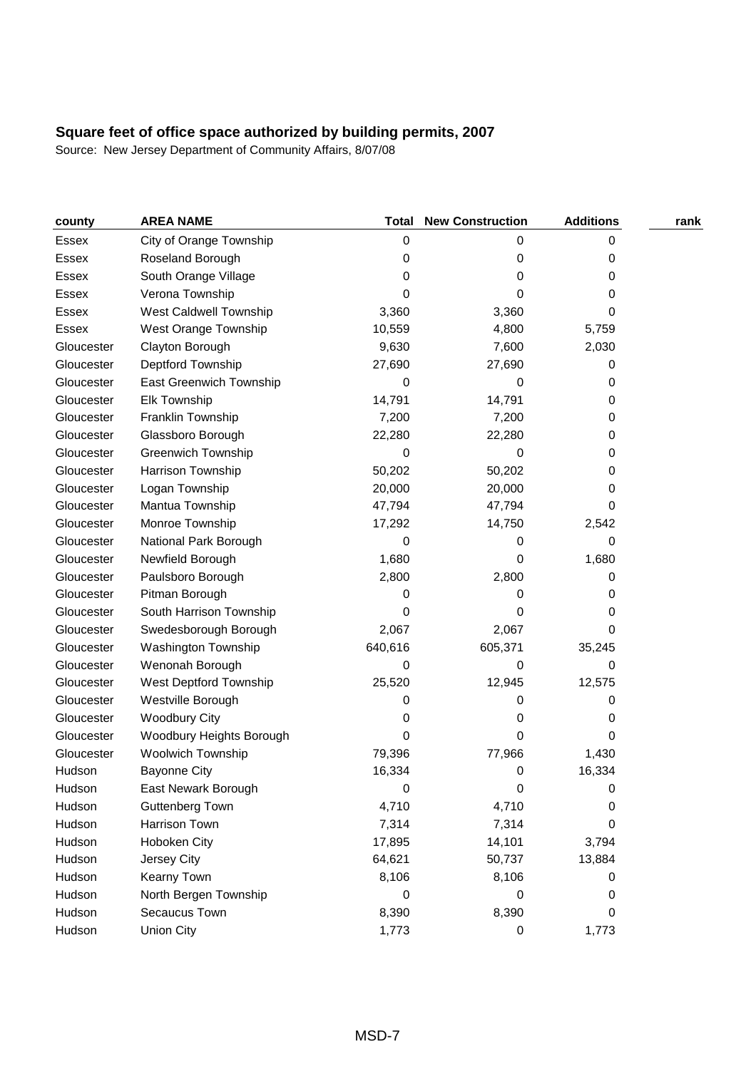| county     | <b>AREA NAME</b>          | <b>Total</b> | <b>New Construction</b> | <b>Additions</b> | rank |
|------------|---------------------------|--------------|-------------------------|------------------|------|
| Essex      | City of Orange Township   | 0            | 0                       | 0                |      |
| Essex      | Roseland Borough          | 0            | 0                       | 0                |      |
| Essex      | South Orange Village      | 0            | 0                       | 0                |      |
| Essex      | Verona Township           | 0            | 0                       | 0                |      |
| Essex      | West Caldwell Township    | 3,360        | 3,360                   | 0                |      |
| Essex      | West Orange Township      | 10,559       | 4,800                   | 5,759            |      |
| Gloucester | Clayton Borough           | 9,630        | 7,600                   | 2,030            |      |
| Gloucester | Deptford Township         | 27,690       | 27,690                  | 0                |      |
| Gloucester | East Greenwich Township   | 0            | 0                       | 0                |      |
| Gloucester | <b>Elk Township</b>       | 14,791       | 14,791                  | 0                |      |
| Gloucester | Franklin Township         | 7,200        | 7,200                   | 0                |      |
| Gloucester | Glassboro Borough         | 22,280       | 22,280                  | 0                |      |
| Gloucester | <b>Greenwich Township</b> | 0            | 0                       | 0                |      |
| Gloucester | Harrison Township         | 50,202       | 50,202                  | 0                |      |
| Gloucester | Logan Township            | 20,000       | 20,000                  | 0                |      |
| Gloucester | Mantua Township           | 47,794       | 47,794                  | 0                |      |
| Gloucester | Monroe Township           | 17,292       | 14,750                  | 2,542            |      |
| Gloucester | National Park Borough     | 0            | 0                       | 0                |      |
| Gloucester | Newfield Borough          | 1,680        | 0                       | 1,680            |      |
| Gloucester | Paulsboro Borough         | 2,800        | 2,800                   | 0                |      |
| Gloucester | Pitman Borough            | 0            | 0                       | 0                |      |
| Gloucester | South Harrison Township   | 0            | 0                       | 0                |      |
| Gloucester | Swedesborough Borough     | 2,067        | 2,067                   | 0                |      |
| Gloucester | Washington Township       | 640,616      | 605,371                 | 35,245           |      |
| Gloucester | Wenonah Borough           | 0            | 0                       | 0                |      |
| Gloucester | West Deptford Township    | 25,520       | 12,945                  | 12,575           |      |
| Gloucester | Westville Borough         | 0            | 0                       | 0                |      |
| Gloucester | <b>Woodbury City</b>      | 0            | 0                       | 0                |      |
| Gloucester | Woodbury Heights Borough  | 0            | 0                       | 0                |      |
| Gloucester | Woolwich Township         | 79,396       | 77,966                  | 1,430            |      |
| Hudson     | <b>Bayonne City</b>       | 16,334       | 0                       | 16,334           |      |
| Hudson     | East Newark Borough       | 0            | 0                       | 0                |      |
| Hudson     | <b>Guttenberg Town</b>    | 4,710        | 4,710                   | 0                |      |
| Hudson     | Harrison Town             | 7,314        | 7,314                   | 0                |      |
| Hudson     | Hoboken City              | 17,895       | 14,101                  | 3,794            |      |
| Hudson     | Jersey City               | 64,621       | 50,737                  | 13,884           |      |
| Hudson     | Kearny Town               | 8,106        | 8,106                   | 0                |      |
| Hudson     | North Bergen Township     | 0            | 0                       | 0                |      |
| Hudson     | Secaucus Town             | 8,390        | 8,390                   | 0                |      |
| Hudson     | <b>Union City</b>         | 1,773        | 0                       | 1,773            |      |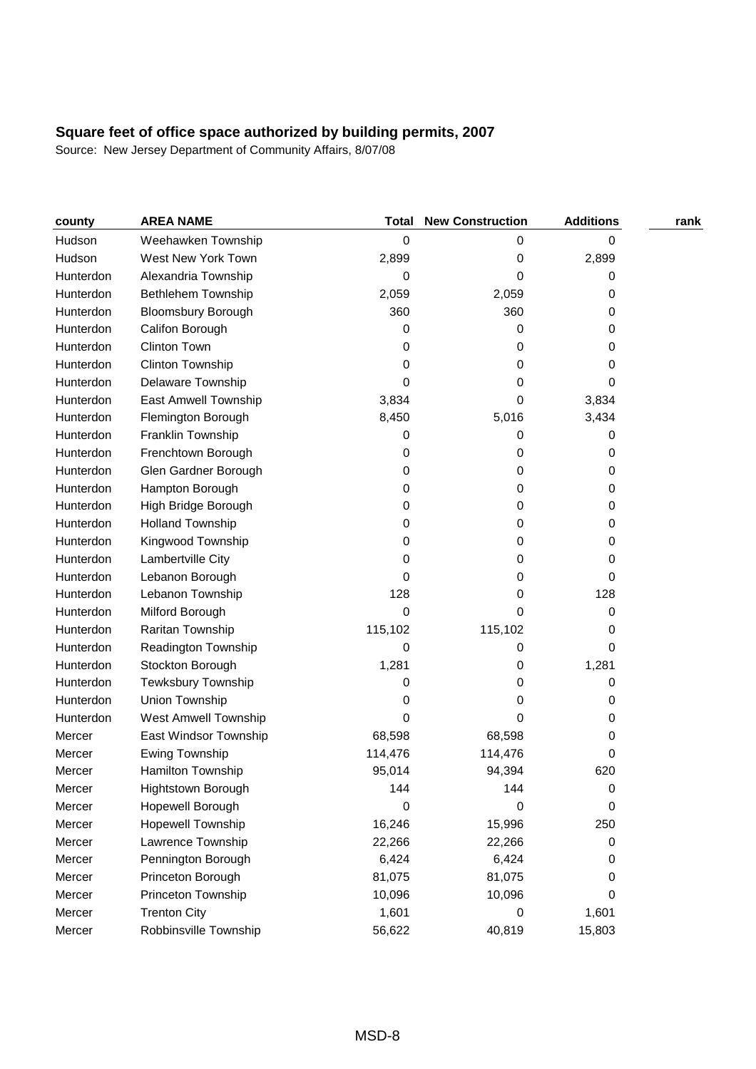| county    | <b>AREA NAME</b>          | <b>Total</b> | <b>New Construction</b> | <b>Additions</b> | rank |
|-----------|---------------------------|--------------|-------------------------|------------------|------|
| Hudson    | Weehawken Township        | 0            | 0                       | 0                |      |
| Hudson    | West New York Town        | 2,899        | 0                       | 2,899            |      |
| Hunterdon | Alexandria Township       | 0            | 0                       | 0                |      |
| Hunterdon | Bethlehem Township        | 2,059        | 2,059                   | 0                |      |
| Hunterdon | <b>Bloomsbury Borough</b> | 360          | 360                     | 0                |      |
| Hunterdon | Califon Borough           | 0            | 0                       | 0                |      |
| Hunterdon | <b>Clinton Town</b>       | 0            | 0                       | 0                |      |
| Hunterdon | Clinton Township          | 0            | 0                       | 0                |      |
| Hunterdon | Delaware Township         | 0            | 0                       | 0                |      |
| Hunterdon | East Amwell Township      | 3,834        | 0                       | 3,834            |      |
| Hunterdon | Flemington Borough        | 8,450        | 5,016                   | 3,434            |      |
| Hunterdon | Franklin Township         | 0            | 0                       | 0                |      |
| Hunterdon | Frenchtown Borough        | 0            | 0                       | 0                |      |
| Hunterdon | Glen Gardner Borough      | 0            | 0                       | 0                |      |
| Hunterdon | Hampton Borough           | 0            | 0                       | 0                |      |
| Hunterdon | High Bridge Borough       | 0            | 0                       | 0                |      |
| Hunterdon | <b>Holland Township</b>   | 0            | 0                       | 0                |      |
| Hunterdon | Kingwood Township         | 0            | 0                       | 0                |      |
| Hunterdon | Lambertville City         | 0            | 0                       | 0                |      |
| Hunterdon | Lebanon Borough           | 0            | 0                       | 0                |      |
| Hunterdon | Lebanon Township          | 128          | 0                       | 128              |      |
| Hunterdon | Milford Borough           | $\Omega$     | 0                       | 0                |      |
| Hunterdon | Raritan Township          | 115,102      | 115,102                 | 0                |      |
| Hunterdon | Readington Township       | 0            | 0                       | 0                |      |
| Hunterdon | Stockton Borough          | 1,281        | 0                       | 1,281            |      |
| Hunterdon | <b>Tewksbury Township</b> | 0            | 0                       | 0                |      |
| Hunterdon | Union Township            | 0            | 0                       | 0                |      |
| Hunterdon | West Amwell Township      | 0            | 0                       | 0                |      |
| Mercer    | East Windsor Township     | 68,598       | 68,598                  | 0                |      |
| Mercer    | <b>Ewing Township</b>     | 114,476      | 114,476                 | 0                |      |
| Mercer    | Hamilton Township         | 95,014       | 94,394                  | 620              |      |
| Mercer    | Hightstown Borough        | 144          | 144                     | 0                |      |
| Mercer    | Hopewell Borough          | 0            | 0                       | 0                |      |
| Mercer    | Hopewell Township         | 16,246       | 15,996                  | 250              |      |
| Mercer    | Lawrence Township         | 22,266       | 22,266                  | 0                |      |
| Mercer    | Pennington Borough        | 6,424        | 6,424                   | 0                |      |
| Mercer    | Princeton Borough         | 81,075       | 81,075                  | 0                |      |
| Mercer    | Princeton Township        | 10,096       | 10,096                  | 0                |      |
| Mercer    | <b>Trenton City</b>       | 1,601        | 0                       | 1,601            |      |
| Mercer    | Robbinsville Township     | 56,622       | 40,819                  | 15,803           |      |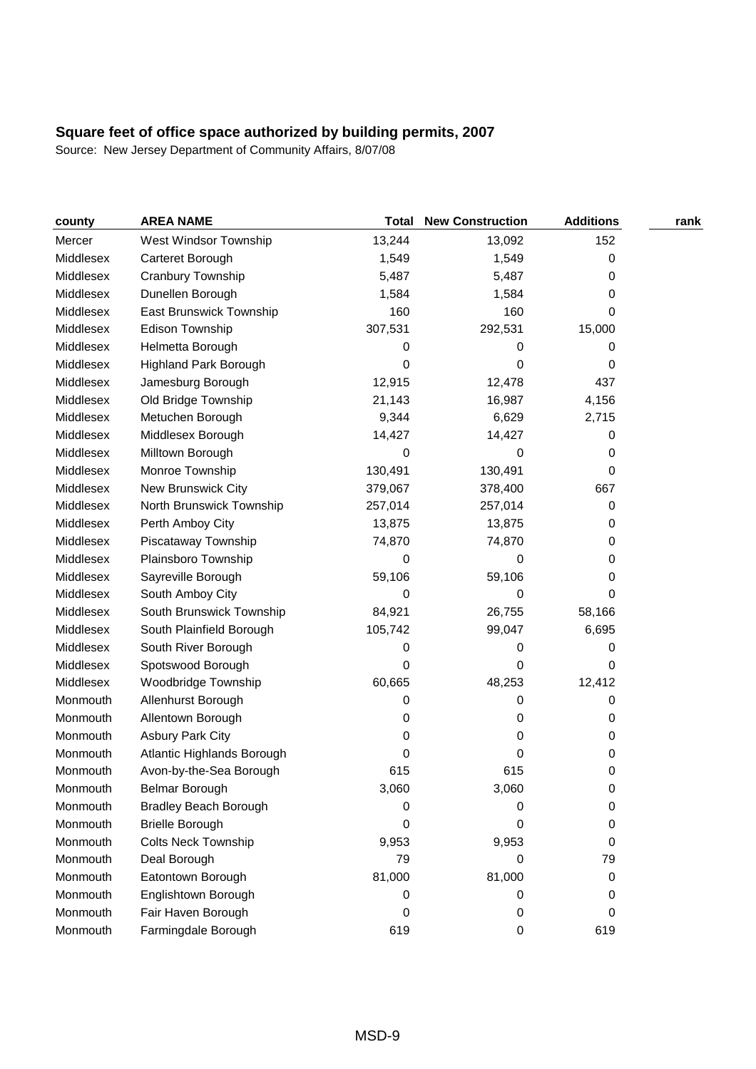| county    | <b>AREA NAME</b>             | <b>Total</b> | <b>New Construction</b> | <b>Additions</b> | rank |
|-----------|------------------------------|--------------|-------------------------|------------------|------|
| Mercer    | West Windsor Township        | 13,244       | 13,092                  | 152              |      |
| Middlesex | Carteret Borough             | 1,549        | 1,549                   | 0                |      |
| Middlesex | Cranbury Township            | 5,487        | 5,487                   | 0                |      |
| Middlesex | Dunellen Borough             | 1,584        | 1,584                   | 0                |      |
| Middlesex | East Brunswick Township      | 160          | 160                     | 0                |      |
| Middlesex | Edison Township              | 307,531      | 292,531                 | 15,000           |      |
| Middlesex | Helmetta Borough             | 0            | 0                       | 0                |      |
| Middlesex | <b>Highland Park Borough</b> | 0            | 0                       | 0                |      |
| Middlesex | Jamesburg Borough            | 12,915       | 12,478                  | 437              |      |
| Middlesex | Old Bridge Township          | 21,143       | 16,987                  | 4,156            |      |
| Middlesex | Metuchen Borough             | 9,344        | 6,629                   | 2,715            |      |
| Middlesex | Middlesex Borough            | 14,427       | 14,427                  | 0                |      |
| Middlesex | Milltown Borough             | 0            | 0                       | 0                |      |
| Middlesex | Monroe Township              | 130,491      | 130,491                 | 0                |      |
| Middlesex | New Brunswick City           | 379,067      | 378,400                 | 667              |      |
| Middlesex | North Brunswick Township     | 257,014      | 257,014                 | 0                |      |
| Middlesex | Perth Amboy City             | 13,875       | 13,875                  | 0                |      |
| Middlesex | Piscataway Township          | 74,870       | 74,870                  | 0                |      |
| Middlesex | Plainsboro Township          | 0            | 0                       | 0                |      |
| Middlesex | Sayreville Borough           | 59,106       | 59,106                  | 0                |      |
| Middlesex | South Amboy City             | 0            | 0                       | 0                |      |
| Middlesex | South Brunswick Township     | 84,921       | 26,755                  | 58,166           |      |
| Middlesex | South Plainfield Borough     | 105,742      | 99,047                  | 6,695            |      |
| Middlesex | South River Borough          | 0            | 0                       | 0                |      |
| Middlesex | Spotswood Borough            | 0            | 0                       | 0                |      |
| Middlesex | Woodbridge Township          | 60,665       | 48,253                  | 12,412           |      |
| Monmouth  | Allenhurst Borough           | 0            | 0                       | 0                |      |
| Monmouth  | Allentown Borough            | 0            | 0                       | 0                |      |
| Monmouth  | <b>Asbury Park City</b>      | 0            | 0                       | 0                |      |
| Monmouth  | Atlantic Highlands Borough   | 0            | 0                       | 0                |      |
| Monmouth  | Avon-by-the-Sea Borough      | 615          | 615                     | 0                |      |
| Monmouth  | <b>Belmar Borough</b>        | 3,060        | 3,060                   | 0                |      |
| Monmouth  | <b>Bradley Beach Borough</b> | 0            | 0                       | 0                |      |
| Monmouth  | <b>Brielle Borough</b>       | 0            | 0                       | 0                |      |
| Monmouth  | <b>Colts Neck Township</b>   | 9,953        | 9,953                   | 0                |      |
| Monmouth  | Deal Borough                 | 79           | 0                       | 79               |      |
| Monmouth  | Eatontown Borough            | 81,000       | 81,000                  | 0                |      |
| Monmouth  | Englishtown Borough          | 0            | 0                       | 0                |      |
| Monmouth  | Fair Haven Borough           | 0            | 0                       | 0                |      |
| Monmouth  | Farmingdale Borough          | 619          | $\pmb{0}$               | 619              |      |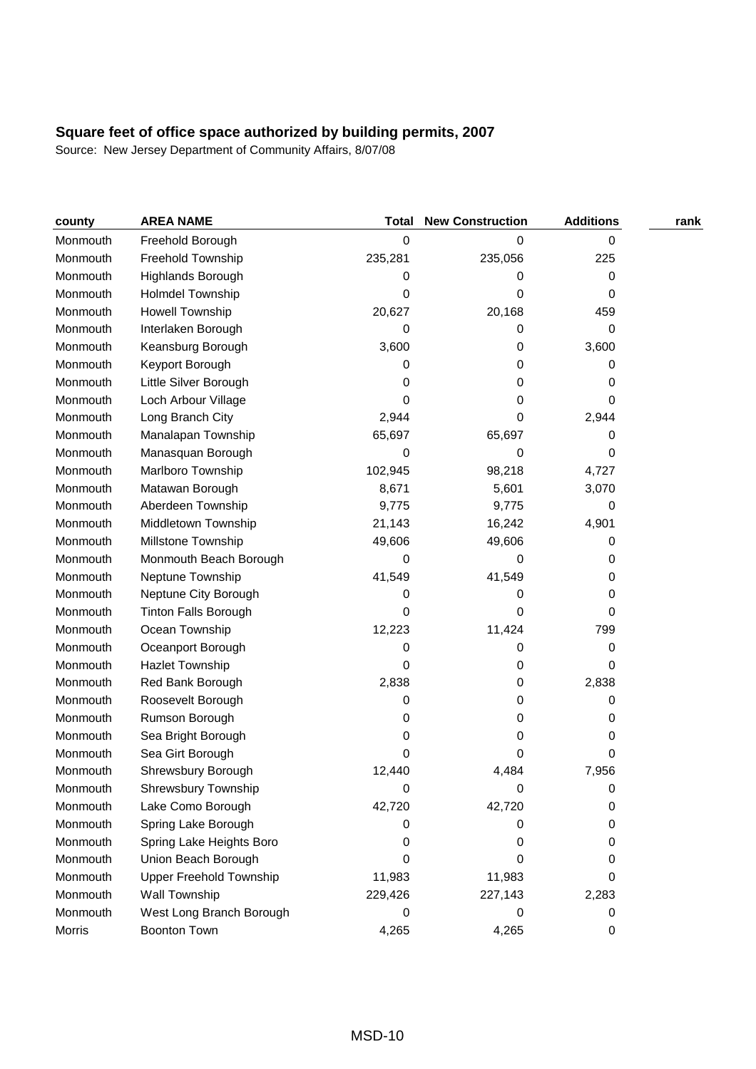| county   | <b>AREA NAME</b>               | <b>Total</b> | <b>New Construction</b> | <b>Additions</b> | rank |
|----------|--------------------------------|--------------|-------------------------|------------------|------|
| Monmouth | Freehold Borough               | 0            | 0                       | 0                |      |
| Monmouth | Freehold Township              | 235,281      | 235,056                 | 225              |      |
| Monmouth | Highlands Borough              | 0            | 0                       | 0                |      |
| Monmouth | <b>Holmdel Township</b>        | 0            | 0                       | 0                |      |
| Monmouth | <b>Howell Township</b>         | 20,627       | 20,168                  | 459              |      |
| Monmouth | Interlaken Borough             | 0            | 0                       | 0                |      |
| Monmouth | Keansburg Borough              | 3,600        | 0                       | 3,600            |      |
| Monmouth | Keyport Borough                | 0            | 0                       | 0                |      |
| Monmouth | Little Silver Borough          | 0            | 0                       | 0                |      |
| Monmouth | Loch Arbour Village            | 0            | 0                       | 0                |      |
| Monmouth | Long Branch City               | 2,944        | 0                       | 2,944            |      |
| Monmouth | Manalapan Township             | 65,697       | 65,697                  | 0                |      |
| Monmouth | Manasquan Borough              | 0            | 0                       | 0                |      |
| Monmouth | Marlboro Township              | 102,945      | 98,218                  | 4,727            |      |
| Monmouth | Matawan Borough                | 8,671        | 5,601                   | 3,070            |      |
| Monmouth | Aberdeen Township              | 9,775        | 9,775                   | 0                |      |
| Monmouth | Middletown Township            | 21,143       | 16,242                  | 4,901            |      |
| Monmouth | Millstone Township             | 49,606       | 49,606                  | 0                |      |
| Monmouth | Monmouth Beach Borough         | 0            | 0                       | 0                |      |
| Monmouth | Neptune Township               | 41,549       | 41,549                  | 0                |      |
| Monmouth | Neptune City Borough           | 0            | 0                       | 0                |      |
| Monmouth | <b>Tinton Falls Borough</b>    | 0            | 0                       | 0                |      |
| Monmouth | Ocean Township                 | 12,223       | 11,424                  | 799              |      |
| Monmouth | Oceanport Borough              | 0            | 0                       | 0                |      |
| Monmouth | <b>Hazlet Township</b>         | 0            | 0                       | 0                |      |
| Monmouth | Red Bank Borough               | 2,838        | 0                       | 2,838            |      |
| Monmouth | Roosevelt Borough              | 0            | 0                       | 0                |      |
| Monmouth | Rumson Borough                 | 0            | 0                       | 0                |      |
| Monmouth | Sea Bright Borough             | 0            | 0                       | 0                |      |
| Monmouth | Sea Girt Borough               | 0            | 0                       | 0                |      |
| Monmouth | Shrewsbury Borough             | 12,440       | 4,484                   | 7,956            |      |
| Monmouth | <b>Shrewsbury Township</b>     | 0            | 0                       | 0                |      |
| Monmouth | Lake Como Borough              | 42,720       | 42,720                  | 0                |      |
| Monmouth | Spring Lake Borough            | 0            | 0                       | 0                |      |
| Monmouth | Spring Lake Heights Boro       | 0            | 0                       | 0                |      |
| Monmouth | Union Beach Borough            | 0            | 0                       | 0                |      |
| Monmouth | <b>Upper Freehold Township</b> | 11,983       | 11,983                  | 0                |      |
| Monmouth | Wall Township                  | 229,426      | 227,143                 | 2,283            |      |
| Monmouth | West Long Branch Borough       | 0            | 0                       | 0                |      |
| Morris   | Boonton Town                   | 4,265        | 4,265                   | 0                |      |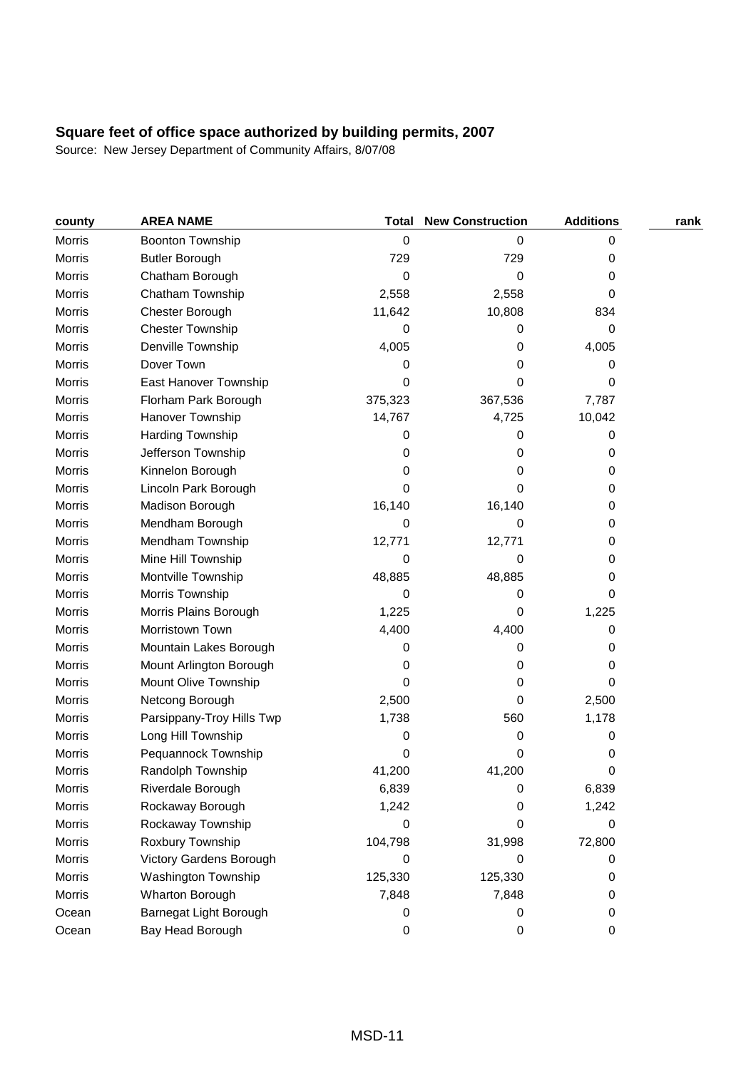| county        | <b>AREA NAME</b>          | <b>Total</b> | <b>New Construction</b> | <b>Additions</b> | rank |
|---------------|---------------------------|--------------|-------------------------|------------------|------|
| <b>Morris</b> | Boonton Township          | 0            | 0                       | 0                |      |
| Morris        | <b>Butler Borough</b>     | 729          | 729                     | 0                |      |
| Morris        | Chatham Borough           | 0            | 0                       | 0                |      |
| Morris        | Chatham Township          | 2,558        | 2,558                   | 0                |      |
| Morris        | Chester Borough           | 11,642       | 10,808                  | 834              |      |
| Morris        | <b>Chester Township</b>   | 0            | 0                       | 0                |      |
| Morris        | Denville Township         | 4,005        | 0                       | 4,005            |      |
| Morris        | Dover Town                | 0            | 0                       | 0                |      |
| Morris        | East Hanover Township     | 0            | 0                       | 0                |      |
| Morris        | Florham Park Borough      | 375,323      | 367,536                 | 7,787            |      |
| Morris        | Hanover Township          | 14,767       | 4,725                   | 10,042           |      |
| Morris        | Harding Township          | 0            | 0                       | 0                |      |
| Morris        | Jefferson Township        | 0            | 0                       | 0                |      |
| Morris        | Kinnelon Borough          | 0            | 0                       | 0                |      |
| Morris        | Lincoln Park Borough      | 0            | 0                       | 0                |      |
| <b>Morris</b> | Madison Borough           | 16,140       | 16,140                  | 0                |      |
| <b>Morris</b> | Mendham Borough           | 0            | 0                       | 0                |      |
| Morris        | Mendham Township          | 12,771       | 12,771                  | 0                |      |
| Morris        | Mine Hill Township        | 0            | 0                       | 0                |      |
| <b>Morris</b> | Montville Township        | 48,885       | 48,885                  | 0                |      |
| Morris        | Morris Township           | 0            | 0                       | 0                |      |
| Morris        | Morris Plains Borough     | 1,225        | 0                       | 1,225            |      |
| <b>Morris</b> | Morristown Town           | 4,400        | 4,400                   | 0                |      |
| Morris        | Mountain Lakes Borough    | 0            | 0                       | 0                |      |
| Morris        | Mount Arlington Borough   | 0            | 0                       | 0                |      |
| Morris        | Mount Olive Township      | 0            | 0                       | 0                |      |
| <b>Morris</b> | Netcong Borough           | 2,500        | 0                       | 2,500            |      |
| Morris        | Parsippany-Troy Hills Twp | 1,738        | 560                     | 1,178            |      |
| Morris        | Long Hill Township        | 0            | 0                       | 0                |      |
| Morris        | Pequannock Township       | $\Omega$     | 0                       | 0                |      |
| Morris        | Randolph Township         | 41,200       | 41,200                  | 0                |      |
| Morris        | Riverdale Borough         | 6,839        | 0                       | 6,839            |      |
| Morris        | Rockaway Borough          | 1,242        | 0                       | 1,242            |      |
| <b>Morris</b> | Rockaway Township         | 0            | 0                       | 0                |      |
| <b>Morris</b> | Roxbury Township          | 104,798      | 31,998                  | 72,800           |      |
| Morris        | Victory Gardens Borough   | 0            | 0                       | 0                |      |
| <b>Morris</b> | Washington Township       | 125,330      | 125,330                 | 0                |      |
| <b>Morris</b> | Wharton Borough           | 7,848        | 7,848                   | 0                |      |
| Ocean         | Barnegat Light Borough    | 0            | 0                       | 0                |      |
| Ocean         | Bay Head Borough          | 0            | $\pmb{0}$               | 0                |      |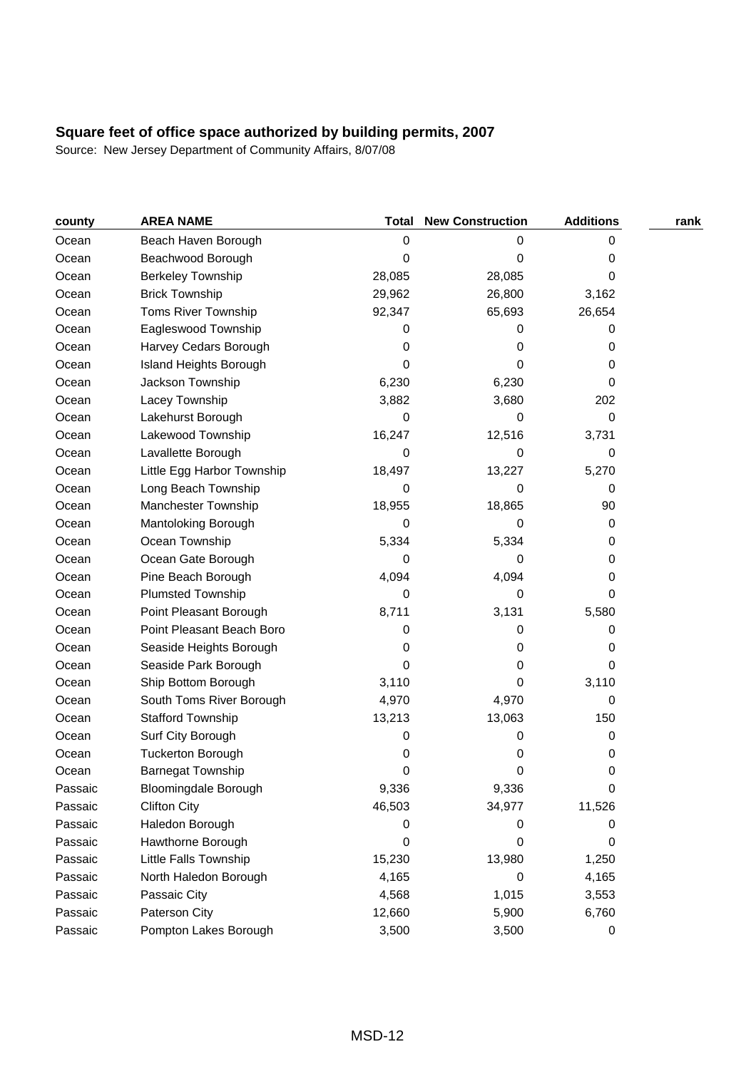| county  | <b>AREA NAME</b>              | <b>Total</b> | <b>New Construction</b> | <b>Additions</b> | rank |
|---------|-------------------------------|--------------|-------------------------|------------------|------|
| Ocean   | Beach Haven Borough           | 0            | 0                       | 0                |      |
| Ocean   | Beachwood Borough             | 0            | 0                       | 0                |      |
| Ocean   | <b>Berkeley Township</b>      | 28,085       | 28,085                  | 0                |      |
| Ocean   | <b>Brick Township</b>         | 29,962       | 26,800                  | 3,162            |      |
| Ocean   | <b>Toms River Township</b>    | 92,347       | 65,693                  | 26,654           |      |
| Ocean   | Eagleswood Township           | 0            | 0                       | 0                |      |
| Ocean   | Harvey Cedars Borough         | 0            | 0                       | 0                |      |
| Ocean   | <b>Island Heights Borough</b> | 0            | 0                       | 0                |      |
| Ocean   | Jackson Township              | 6,230        | 6,230                   | 0                |      |
| Ocean   | Lacey Township                | 3,882        | 3,680                   | 202              |      |
| Ocean   | Lakehurst Borough             | 0            | 0                       | 0                |      |
| Ocean   | Lakewood Township             | 16,247       | 12,516                  | 3,731            |      |
| Ocean   | Lavallette Borough            | 0            | 0                       | 0                |      |
| Ocean   | Little Egg Harbor Township    | 18,497       | 13,227                  | 5,270            |      |
| Ocean   | Long Beach Township           | 0            | 0                       | 0                |      |
| Ocean   | Manchester Township           | 18,955       | 18,865                  | 90               |      |
| Ocean   | Mantoloking Borough           | 0            | 0                       | 0                |      |
| Ocean   | Ocean Township                | 5,334        | 5,334                   | 0                |      |
| Ocean   | Ocean Gate Borough            | 0            | 0                       | 0                |      |
| Ocean   | Pine Beach Borough            | 4,094        | 4,094                   | 0                |      |
| Ocean   | Plumsted Township             | 0            | 0                       | 0                |      |
| Ocean   | Point Pleasant Borough        | 8,711        | 3,131                   | 5,580            |      |
| Ocean   | Point Pleasant Beach Boro     | 0            | 0                       | 0                |      |
| Ocean   | Seaside Heights Borough       | 0            | 0                       | 0                |      |
| Ocean   | Seaside Park Borough          | 0            | 0                       | 0                |      |
| Ocean   | Ship Bottom Borough           | 3,110        | 0                       | 3,110            |      |
| Ocean   | South Toms River Borough      | 4,970        | 4,970                   | 0                |      |
| Ocean   | <b>Stafford Township</b>      | 13,213       | 13,063                  | 150              |      |
| Ocean   | Surf City Borough             | 0            | 0                       | 0                |      |
| Ocean   | <b>Tuckerton Borough</b>      | 0            | 0                       | 0                |      |
| Ocean   | <b>Barnegat Township</b>      | 0            | 0                       | 0                |      |
| Passaic | <b>Bloomingdale Borough</b>   | 9,336        | 9,336                   | 0                |      |
| Passaic | <b>Clifton City</b>           | 46,503       | 34,977                  | 11,526           |      |
| Passaic | Haledon Borough               | 0            | 0                       | 0                |      |
| Passaic | Hawthorne Borough             | 0            | 0                       | 0                |      |
| Passaic | Little Falls Township         | 15,230       | 13,980                  | 1,250            |      |
| Passaic | North Haledon Borough         | 4,165        | 0                       | 4,165            |      |
| Passaic | Passaic City                  | 4,568        | 1,015                   | 3,553            |      |
| Passaic | Paterson City                 | 12,660       | 5,900                   | 6,760            |      |
| Passaic | Pompton Lakes Borough         | 3,500        | 3,500                   | $\pmb{0}$        |      |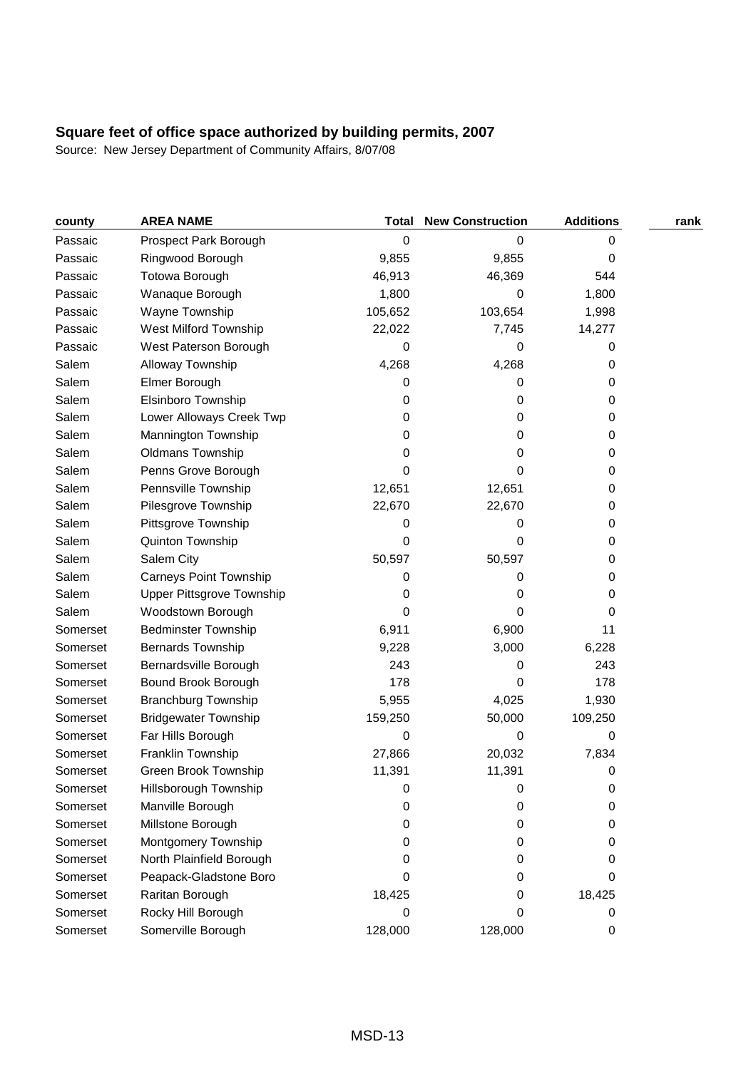| county   | <b>AREA NAME</b>                 | <b>Total</b> | <b>New Construction</b> | <b>Additions</b> | rank |
|----------|----------------------------------|--------------|-------------------------|------------------|------|
| Passaic  | Prospect Park Borough            | 0            | 0                       | 0                |      |
| Passaic  | Ringwood Borough                 | 9,855        | 9,855                   | 0                |      |
| Passaic  | <b>Totowa Borough</b>            | 46,913       | 46,369                  | 544              |      |
| Passaic  | Wanaque Borough                  | 1,800        | 0                       | 1,800            |      |
| Passaic  | Wayne Township                   | 105,652      | 103,654                 | 1,998            |      |
| Passaic  | West Milford Township            | 22,022       | 7,745                   | 14,277           |      |
| Passaic  | West Paterson Borough            | 0            | 0                       | 0                |      |
| Salem    | Alloway Township                 | 4,268        | 4,268                   | 0                |      |
| Salem    | Elmer Borough                    | 0            | 0                       | 0                |      |
| Salem    | Elsinboro Township               | 0            | 0                       | 0                |      |
| Salem    | Lower Alloways Creek Twp         | 0            | 0                       | 0                |      |
| Salem    | Mannington Township              | 0            | 0                       | 0                |      |
| Salem    | Oldmans Township                 | 0            | 0                       | 0                |      |
| Salem    | Penns Grove Borough              | 0            | 0                       | 0                |      |
| Salem    | Pennsville Township              | 12,651       | 12,651                  | 0                |      |
| Salem    | Pilesgrove Township              | 22,670       | 22,670                  | 0                |      |
| Salem    | Pittsgrove Township              | 0            | 0                       | 0                |      |
| Salem    | Quinton Township                 | 0            | 0                       | 0                |      |
| Salem    | Salem City                       | 50,597       | 50,597                  | 0                |      |
| Salem    | <b>Carneys Point Township</b>    | 0            | 0                       | 0                |      |
| Salem    | <b>Upper Pittsgrove Township</b> | 0            | 0                       | 0                |      |
| Salem    | Woodstown Borough                | 0            | 0                       | 0                |      |
| Somerset | <b>Bedminster Township</b>       | 6,911        | 6,900                   | 11               |      |
| Somerset | <b>Bernards Township</b>         | 9,228        | 3,000                   | 6,228            |      |
| Somerset | Bernardsville Borough            | 243          | 0                       | 243              |      |
| Somerset | Bound Brook Borough              | 178          | 0                       | 178              |      |
| Somerset | <b>Branchburg Township</b>       | 5,955        | 4,025                   | 1,930            |      |
| Somerset | <b>Bridgewater Township</b>      | 159,250      | 50,000                  | 109,250          |      |
| Somerset | Far Hills Borough                | 0            | 0                       | 0                |      |
| Somerset | Franklin Township                | 27,866       | 20,032                  | 7,834            |      |
| Somerset | Green Brook Township             | 11,391       | 11,391                  | 0                |      |
| Somerset | <b>Hillsborough Township</b>     | 0            | 0                       | 0                |      |
| Somerset | Manville Borough                 | 0            | 0                       | 0                |      |
| Somerset | Millstone Borough                | 0            | 0                       | 0                |      |
| Somerset | Montgomery Township              | 0            | 0                       | 0                |      |
| Somerset | North Plainfield Borough         | 0            | 0                       | 0                |      |
| Somerset | Peapack-Gladstone Boro           | 0            | 0                       | 0                |      |
| Somerset | Raritan Borough                  | 18,425       | 0                       | 18,425           |      |
| Somerset | Rocky Hill Borough               | 0            | 0                       | 0                |      |
| Somerset | Somerville Borough               | 128,000      | 128,000                 | 0                |      |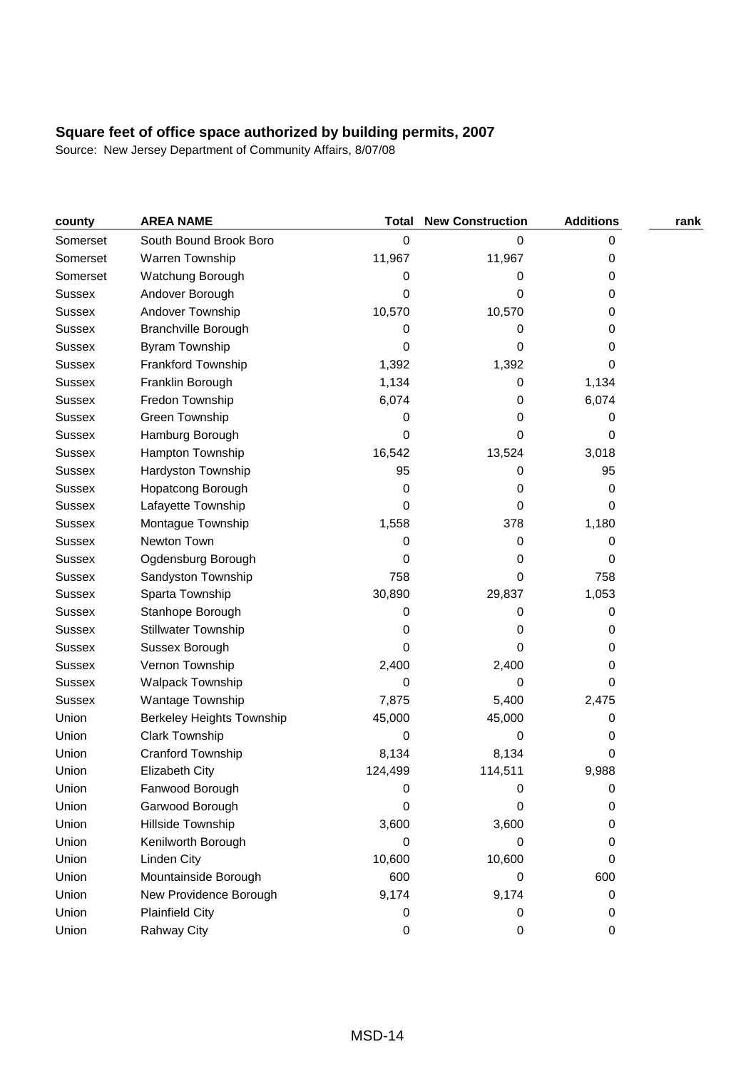| county        | <b>AREA NAME</b>                 | <b>Total</b> | <b>New Construction</b> | <b>Additions</b> | rank |
|---------------|----------------------------------|--------------|-------------------------|------------------|------|
| Somerset      | South Bound Brook Boro           | 0            | 0                       | 0                |      |
| Somerset      | Warren Township                  | 11,967       | 11,967                  | 0                |      |
| Somerset      | Watchung Borough                 | 0            | 0                       | 0                |      |
| Sussex        | Andover Borough                  | 0            | 0                       | 0                |      |
| <b>Sussex</b> | Andover Township                 | 10,570       | 10,570                  | 0                |      |
| <b>Sussex</b> | <b>Branchville Borough</b>       | 0            | 0                       | 0                |      |
| <b>Sussex</b> | <b>Byram Township</b>            | 0            | 0                       | 0                |      |
| <b>Sussex</b> | Frankford Township               | 1,392        | 1,392                   | 0                |      |
| <b>Sussex</b> | Franklin Borough                 | 1,134        | 0                       | 1,134            |      |
| Sussex        | Fredon Township                  | 6,074        | 0                       | 6,074            |      |
| <b>Sussex</b> | Green Township                   | 0            | 0                       | 0                |      |
| <b>Sussex</b> | Hamburg Borough                  | 0            | 0                       | 0                |      |
| <b>Sussex</b> | Hampton Township                 | 16,542       | 13,524                  | 3,018            |      |
| <b>Sussex</b> | Hardyston Township               | 95           | 0                       | 95               |      |
| <b>Sussex</b> | Hopatcong Borough                | 0            | 0                       | 0                |      |
| <b>Sussex</b> | Lafayette Township               | 0            | 0                       | 0                |      |
| <b>Sussex</b> | Montague Township                | 1,558        | 378                     | 1,180            |      |
| Sussex        | Newton Town                      | 0            | 0                       | 0                |      |
| <b>Sussex</b> | Ogdensburg Borough               | 0            | 0                       | 0                |      |
| <b>Sussex</b> | Sandyston Township               | 758          | 0                       | 758              |      |
| <b>Sussex</b> | Sparta Township                  | 30,890       | 29,837                  | 1,053            |      |
| <b>Sussex</b> | Stanhope Borough                 | 0            | 0                       | 0                |      |
| <b>Sussex</b> | <b>Stillwater Township</b>       | 0            | 0                       | 0                |      |
| <b>Sussex</b> | Sussex Borough                   | 0            | 0                       | 0                |      |
| Sussex        | Vernon Township                  | 2,400        | 2,400                   | 0                |      |
| <b>Sussex</b> | Walpack Township                 | $\Omega$     | 0                       | 0                |      |
| <b>Sussex</b> | Wantage Township                 | 7,875        | 5,400                   | 2,475            |      |
| Union         | <b>Berkeley Heights Township</b> | 45,000       | 45,000                  | 0                |      |
| Union         | Clark Township                   | 0            | 0                       | 0                |      |
| Union         | Cranford Township                | 8,134        | 8,134                   | 0                |      |
| Union         | <b>Elizabeth City</b>            | 124,499      | 114,511                 | 9,988            |      |
| Union         | Fanwood Borough                  | 0            | 0                       | 0                |      |
| Union         | Garwood Borough                  | 0            | 0                       | 0                |      |
| Union         | Hillside Township                | 3,600        | 3,600                   | 0                |      |
| Union         | Kenilworth Borough               | 0            | 0                       | 0                |      |
| Union         | Linden City                      | 10,600       | 10,600                  | 0                |      |
| Union         | Mountainside Borough             | 600          | 0                       | 600              |      |
| Union         | New Providence Borough           | 9,174        | 9,174                   | 0                |      |
| Union         | <b>Plainfield City</b>           | 0            | 0                       | 0                |      |
| Union         | Rahway City                      | 0            | $\pmb{0}$               | 0                |      |